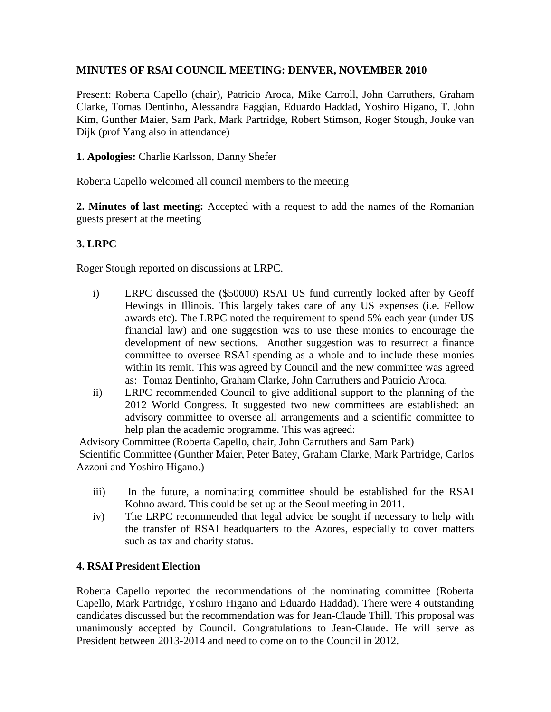# **MINUTES OF RSAI COUNCIL MEETING: DENVER, NOVEMBER 2010**

Present: Roberta Capello (chair), Patricio Aroca, Mike Carroll, John Carruthers, Graham Clarke, Tomas Dentinho, Alessandra Faggian, Eduardo Haddad, Yoshiro Higano, T. John Kim, Gunther Maier, Sam Park, Mark Partridge, Robert Stimson, Roger Stough, Jouke van Dijk (prof Yang also in attendance)

## **1. Apologies:** Charlie Karlsson, Danny Shefer

Roberta Capello welcomed all council members to the meeting

**2. Minutes of last meeting:** Accepted with a request to add the names of the Romanian guests present at the meeting

## **3. LRPC**

Roger Stough reported on discussions at LRPC.

- i) LRPC discussed the (\$50000) RSAI US fund currently looked after by Geoff Hewings in Illinois. This largely takes care of any US expenses (i.e. Fellow awards etc). The LRPC noted the requirement to spend 5% each year (under US financial law) and one suggestion was to use these monies to encourage the development of new sections. Another suggestion was to resurrect a finance committee to oversee RSAI spending as a whole and to include these monies within its remit. This was agreed by Council and the new committee was agreed as: Tomaz Dentinho, Graham Clarke, John Carruthers and Patricio Aroca.
- ii) LRPC recommended Council to give additional support to the planning of the 2012 World Congress. It suggested two new committees are established: an advisory committee to oversee all arrangements and a scientific committee to help plan the academic programme. This was agreed:

Advisory Committee (Roberta Capello, chair, John Carruthers and Sam Park) Scientific Committee (Gunther Maier, Peter Batey, Graham Clarke, Mark Partridge, Carlos Azzoni and Yoshiro Higano.)

- iii) In the future, a nominating committee should be established for the RSAI Kohno award. This could be set up at the Seoul meeting in 2011.
- iv) The LRPC recommended that legal advice be sought if necessary to help with the transfer of RSAI headquarters to the Azores, especially to cover matters such as tax and charity status.

#### **4. RSAI President Election**

Roberta Capello reported the recommendations of the nominating committee (Roberta Capello, Mark Partridge, Yoshiro Higano and Eduardo Haddad). There were 4 outstanding candidates discussed but the recommendation was for Jean-Claude Thill. This proposal was unanimously accepted by Council. Congratulations to Jean-Claude. He will serve as President between 2013-2014 and need to come on to the Council in 2012.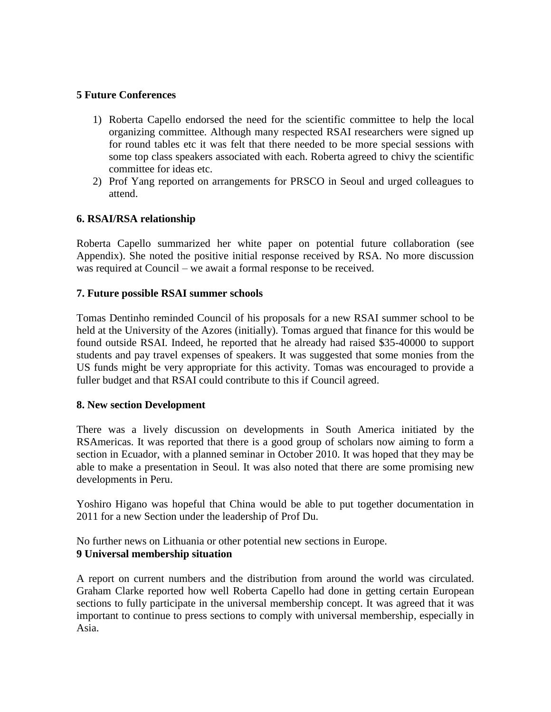## **5 Future Conferences**

- 1) Roberta Capello endorsed the need for the scientific committee to help the local organizing committee. Although many respected RSAI researchers were signed up for round tables etc it was felt that there needed to be more special sessions with some top class speakers associated with each. Roberta agreed to chivy the scientific committee for ideas etc.
- 2) Prof Yang reported on arrangements for PRSCO in Seoul and urged colleagues to attend.

# **6. RSAI/RSA relationship**

Roberta Capello summarized her white paper on potential future collaboration (see Appendix). She noted the positive initial response received by RSA. No more discussion was required at Council – we await a formal response to be received.

#### **7. Future possible RSAI summer schools**

Tomas Dentinho reminded Council of his proposals for a new RSAI summer school to be held at the University of the Azores (initially). Tomas argued that finance for this would be found outside RSAI. Indeed, he reported that he already had raised \$35-40000 to support students and pay travel expenses of speakers. It was suggested that some monies from the US funds might be very appropriate for this activity. Tomas was encouraged to provide a fuller budget and that RSAI could contribute to this if Council agreed.

#### **8. New section Development**

There was a lively discussion on developments in South America initiated by the RSAmericas. It was reported that there is a good group of scholars now aiming to form a section in Ecuador, with a planned seminar in October 2010. It was hoped that they may be able to make a presentation in Seoul. It was also noted that there are some promising new developments in Peru.

Yoshiro Higano was hopeful that China would be able to put together documentation in 2011 for a new Section under the leadership of Prof Du.

No further news on Lithuania or other potential new sections in Europe. **9 Universal membership situation**

A report on current numbers and the distribution from around the world was circulated. Graham Clarke reported how well Roberta Capello had done in getting certain European sections to fully participate in the universal membership concept. It was agreed that it was important to continue to press sections to comply with universal membership, especially in Asia.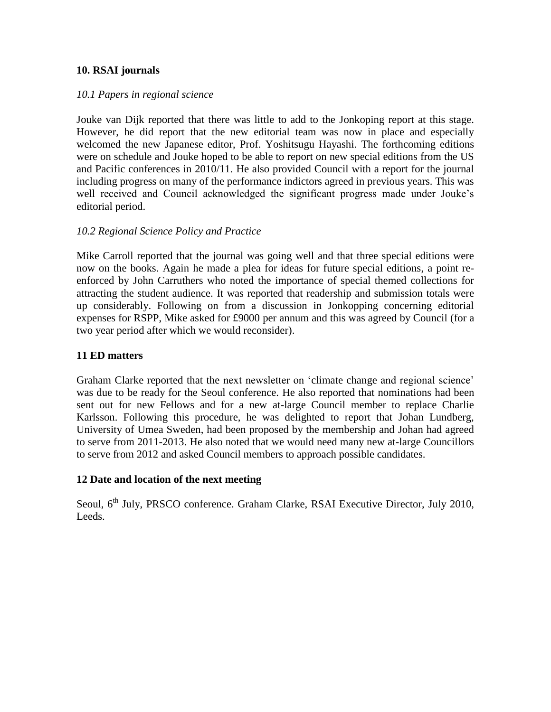#### **10. RSAI journals**

## *10.1 Papers in regional science*

Jouke van Dijk reported that there was little to add to the Jonkoping report at this stage. However, he did report that the new editorial team was now in place and especially welcomed the new Japanese editor, Prof. Yoshitsugu Hayashi. The forthcoming editions were on schedule and Jouke hoped to be able to report on new special editions from the US and Pacific conferences in 2010/11. He also provided Council with a report for the journal including progress on many of the performance indictors agreed in previous years. This was well received and Council acknowledged the significant progress made under Jouke's editorial period.

## *10.2 Regional Science Policy and Practice*

Mike Carroll reported that the journal was going well and that three special editions were now on the books. Again he made a plea for ideas for future special editions, a point reenforced by John Carruthers who noted the importance of special themed collections for attracting the student audience. It was reported that readership and submission totals were up considerably. Following on from a discussion in Jonkopping concerning editorial expenses for RSPP, Mike asked for £9000 per annum and this was agreed by Council (for a two year period after which we would reconsider).

#### **11 ED matters**

Graham Clarke reported that the next newsletter on 'climate change and regional science' was due to be ready for the Seoul conference. He also reported that nominations had been sent out for new Fellows and for a new at-large Council member to replace Charlie Karlsson. Following this procedure, he was delighted to report that Johan Lundberg, University of Umea Sweden, had been proposed by the membership and Johan had agreed to serve from 2011-2013. He also noted that we would need many new at-large Councillors to serve from 2012 and asked Council members to approach possible candidates.

# **12 Date and location of the next meeting**

Seoul, 6<sup>th</sup> July, PRSCO conference. Graham Clarke, RSAI Executive Director, July 2010, Leeds.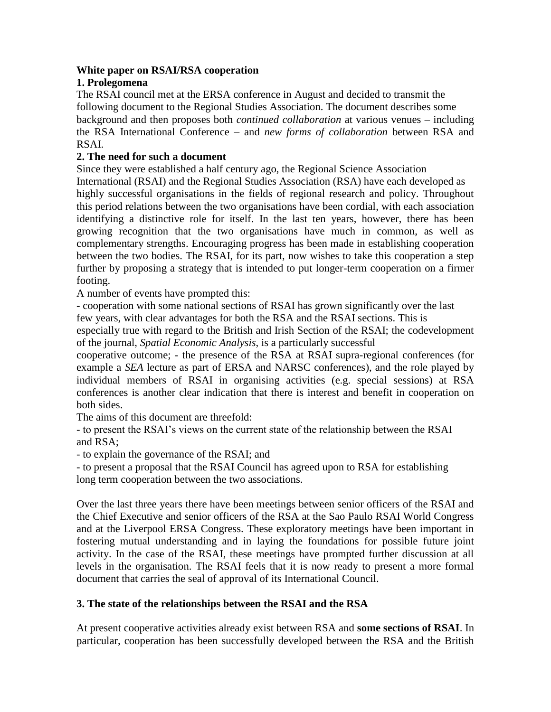## **White paper on RSAI/RSA cooperation**

# **1. Prolegomena**

The RSAI council met at the ERSA conference in August and decided to transmit the following document to the Regional Studies Association. The document describes some background and then proposes both *continued collaboration* at various venues – including the RSA International Conference – and *new forms of collaboration* between RSA and RSAI.

# **2. The need for such a document**

Since they were established a half century ago, the Regional Science Association International (RSAI) and the Regional Studies Association (RSA) have each developed as highly successful organisations in the fields of regional research and policy. Throughout this period relations between the two organisations have been cordial, with each association identifying a distinctive role for itself. In the last ten years, however, there has been growing recognition that the two organisations have much in common, as well as complementary strengths. Encouraging progress has been made in establishing cooperation between the two bodies. The RSAI, for its part, now wishes to take this cooperation a step further by proposing a strategy that is intended to put longer-term cooperation on a firmer footing.

A number of events have prompted this:

- cooperation with some national sections of RSAI has grown significantly over the last few years, with clear advantages for both the RSA and the RSAI sections. This is

especially true with regard to the British and Irish Section of the RSAI; the codevelopment of the journal, *Spatial Economic Analysis*, is a particularly successful

cooperative outcome; - the presence of the RSA at RSAI supra-regional conferences (for example a *SEA* lecture as part of ERSA and NARSC conferences), and the role played by individual members of RSAI in organising activities (e.g. special sessions) at RSA conferences is another clear indication that there is interest and benefit in cooperation on both sides.

The aims of this document are threefold:

- to present the RSAI's views on the current state of the relationship between the RSAI and RSA;

- to explain the governance of the RSAI; and

- to present a proposal that the RSAI Council has agreed upon to RSA for establishing long term cooperation between the two associations.

Over the last three years there have been meetings between senior officers of the RSAI and the Chief Executive and senior officers of the RSA at the Sao Paulo RSAI World Congress and at the Liverpool ERSA Congress. These exploratory meetings have been important in fostering mutual understanding and in laying the foundations for possible future joint activity. In the case of the RSAI, these meetings have prompted further discussion at all levels in the organisation. The RSAI feels that it is now ready to present a more formal document that carries the seal of approval of its International Council.

# **3. The state of the relationships between the RSAI and the RSA**

At present cooperative activities already exist between RSA and **some sections of RSAI**. In particular, cooperation has been successfully developed between the RSA and the British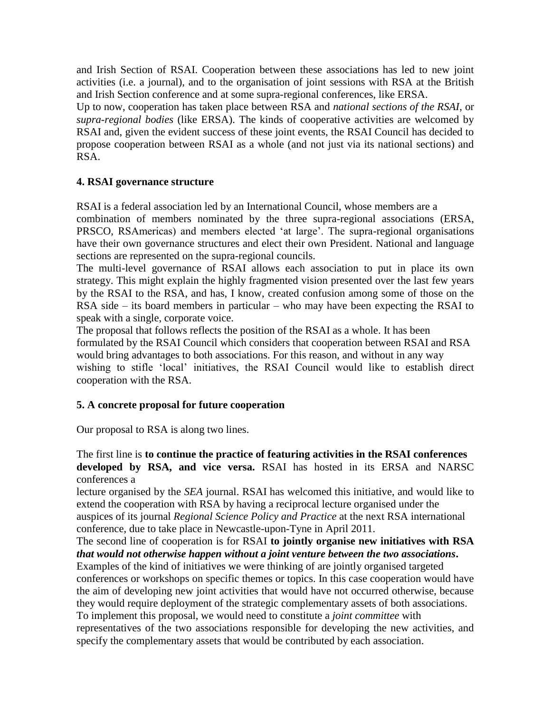and Irish Section of RSAI. Cooperation between these associations has led to new joint activities (i.e. a journal), and to the organisation of joint sessions with RSA at the British and Irish Section conference and at some supra-regional conferences, like ERSA.

Up to now, cooperation has taken place between RSA and *national sections of the RSAI*, or *supra-regional bodies* (like ERSA). The kinds of cooperative activities are welcomed by RSAI and, given the evident success of these joint events, the RSAI Council has decided to propose cooperation between RSAI as a whole (and not just via its national sections) and RSA.

# **4. RSAI governance structure**

RSAI is a federal association led by an International Council, whose members are a

combination of members nominated by the three supra-regional associations (ERSA, PRSCO, RSAmericas) and members elected 'at large'. The supra-regional organisations have their own governance structures and elect their own President. National and language sections are represented on the supra-regional councils.

The multi-level governance of RSAI allows each association to put in place its own strategy. This might explain the highly fragmented vision presented over the last few years by the RSAI to the RSA, and has, I know, created confusion among some of those on the RSA side – its board members in particular – who may have been expecting the RSAI to speak with a single, corporate voice.

The proposal that follows reflects the position of the RSAI as a whole. It has been formulated by the RSAI Council which considers that cooperation between RSAI and RSA would bring advantages to both associations. For this reason, and without in any way wishing to stifle 'local' initiatives, the RSAI Council would like to establish direct cooperation with the RSA.

# **5. A concrete proposal for future cooperation**

Our proposal to RSA is along two lines.

The first line is **to continue the practice of featuring activities in the RSAI conferences developed by RSA, and vice versa.** RSAI has hosted in its ERSA and NARSC conferences a

lecture organised by the *SEA* journal. RSAI has welcomed this initiative, and would like to extend the cooperation with RSA by having a reciprocal lecture organised under the auspices of its journal *Regional Science Policy and Practice* at the next RSA international conference, due to take place in Newcastle-upon-Tyne in April 2011.

The second line of cooperation is for RSAI **to jointly organise new initiatives with RSA**  *that would not otherwise happen without a joint venture between the two associations***.**

Examples of the kind of initiatives we were thinking of are jointly organised targeted conferences or workshops on specific themes or topics. In this case cooperation would have the aim of developing new joint activities that would have not occurred otherwise, because they would require deployment of the strategic complementary assets of both associations. To implement this proposal, we would need to constitute a *joint committee* with representatives of the two associations responsible for developing the new activities, and specify the complementary assets that would be contributed by each association.